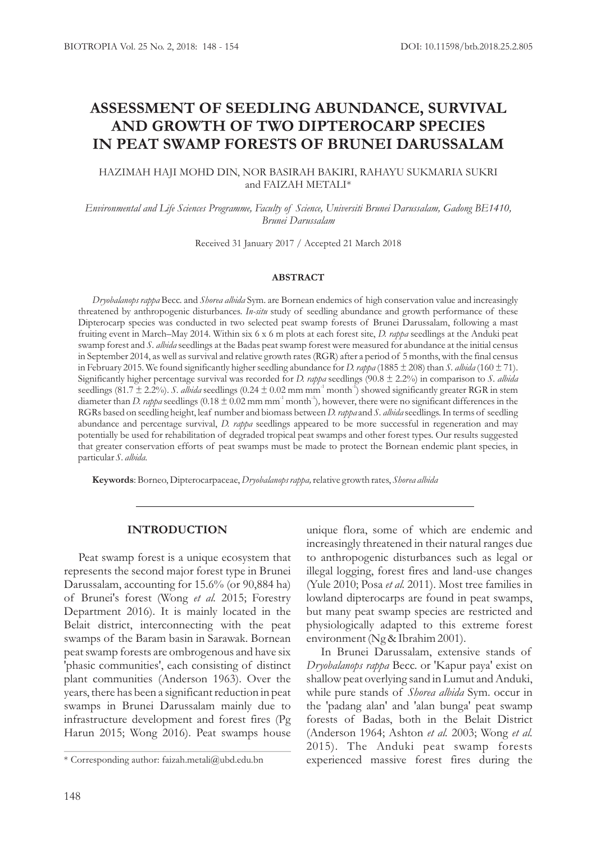# **ASSESSMENT OF SEEDLING ABUNDANCE, SURVIVAL AND GROWTH OF TWO DIPTEROCARP SPECIES IN PEAT SWAMP FORESTS OF BRUNEI DARUSSALAM**

## HAZIMAH HAJI MOHD DIN, NOR BASIRAH BAKIRI, RAHAYU SUKMARIA SUKRI and FAIZAH METALI\*

*Environmental and Life Sciences Programme, Faculty of Science, Universiti Brunei Darussalam, Gadong BE1410, Brunei Darussalam*

Received 31 January 2017 / Accepted 21 March 2018

#### **ABSTRACT**

*Dryobalanops rappa* Becc. and *Shorea albida* Sym. are Bornean endemics of high conservation value and increasingly threatened by anthropogenic disturbances. *In-situ* study of seedling abundance and growth performance of these Dipterocarp species was conducted in two selected peat swamp forests of Brunei Darussalam, following a mast fruiting event in March–May 2014. Within six 6 x 6 m plots at each forest site, *D. rappa* seedlings at the Anduki peat swamp forest and *S. albida* seedlings at the Badas peat swamp forest were measured for abundance at the initial census in September 2014, as well as survival and relative growth rates (RGR) after a period of 5 months, with the final census in February 2015. We found significantly higher seedling abundance for *D. rappa* (1885 ± 208) than *S. albida* (160 ± 71). Significantly higher percentage survival was recorded for *D. rappa* seedlings (90.8 ± 2.2%) in comparison to *S. albida* seedlings (81.7  $\pm$  2.2%). *S. albida* seedlings (0.24  $\pm$  0.02 mm mm<sup>-1</sup> month<sup>-1</sup>) showed significantly greater RGR in stem diameter than *D. rappa* seedlings (0.18  $\pm$  0.02 mm mm<sup>-1</sup> month<sup>-1</sup>), however, there were no significant differences in the RGRs based on seedling height, leaf number and biomass between *D. rappa* and *S. albida* seedlings. In terms of seedling abundance and percentage survival, *D. rappa* seedlings appeared to be more successful in regeneration and may potentially be used for rehabilitation of degraded tropical peat swamps and other forest types. Our results suggested that greater conservation efforts of peat swamps must be made to protect the Bornean endemic plant species, in particular *S. albida*.

**Keywords**: Borneo, Dipterocarpaceae, *Dryobalanops rappa,* relative growth rates, *Shorea albida*

#### **INTRODUCTION**

Peat swamp forest is a unique ecosystem that represents the second major forest type in Brunei Darussalam, accounting for 15.6% (or 90,884 ha) of Brunei's forest (Wong *et al.* 2015; Forestry Department 2016). It is mainly located in the Belait district, interconnecting with the peat swamps of the Baram basin in Sarawak. Bornean peat swamp forests are ombrogenous and have six 'phasic communities', each consisting of distinct plant communities (Anderson 1963). Over the years, there has been a significant reduction in peat swamps in Brunei Darussalam mainly due to infrastructure development and forest fires (Pg Harun 2015; Wong 2016). Peat swamps house

unique flora, some of which are endemic and increasingly threatened in their natural ranges due to anthropogenic disturbances such as legal or illegal logging, forest fires and land-use changes (Yule 2010; Posa *et al.* 2011). Most tree families in lowland dipterocarps are found in peat swamps, but many peat swamp species are restricted and physiologically adapted to this extreme forest environment (Ng & Ibrahim 2001).

In Brunei Darussalam, extensive stands of *Dryobalanops rappa* Becc. or 'Kapur paya' exist on shallow peat overlying sand in Lumut and Anduki, while pure stands of *Shorea albida* Sym. occur in the 'padang alan' and 'alan bunga' peat swamp forests of Badas, both in the Belait District (Anderson 1964; Ashton *et al.* 2003; Wong *et al.* 2015). The Anduki peat swamp forests \* Corresponding author: faizah.metali@ubd.edu.bn experienced massive forest fires during the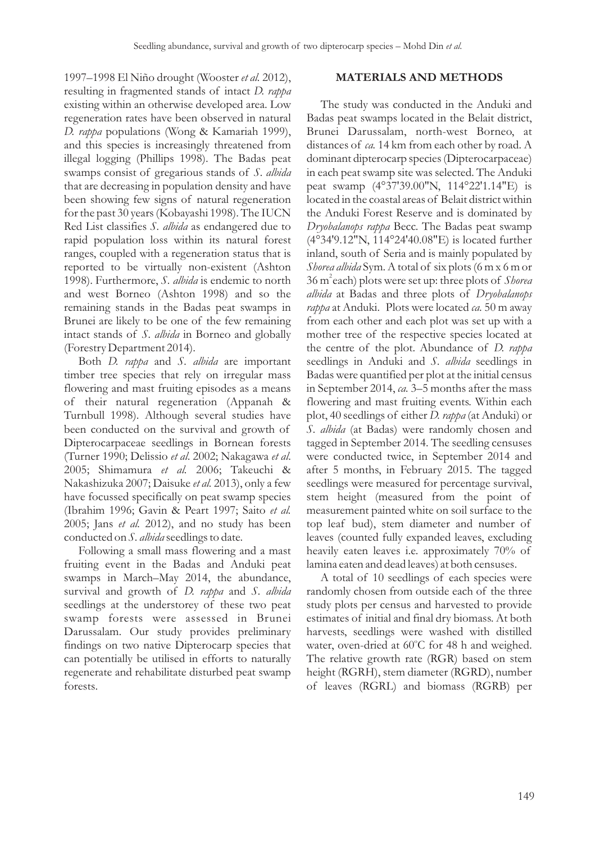1997–1998 El Niño drought (Wooster *et al.* 2012), resulting in fragmented stands of intact *D. rappa* existing within an otherwise developed area. Low regeneration rates have been observed in natural *D. rappa* populations (Wong & Kamariah 1999), and this species is increasingly threatened from illegal logging (Phillips 1998). The Badas peat swamps consist of gregarious stands of *S. albida*  that are decreasing in population density and have been showing few signs of natural regeneration for the past 30 years (Kobayashi 1998). The IUCN Red List classifies *S. albida* as endangered due to rapid population loss within its natural forest ranges, coupled with a regeneration status that is reported to be virtually non-existent (Ashton 1998). Furthermore, *S. albida* is endemic to north and west Borneo (Ashton 1998) and so the remaining stands in the Badas peat swamps in Brunei are likely to be one of the few remaining intact stands of *S. albida* in Borneo and globally (Forestry Department 2014).

Both *D. rappa* and *S. albida* are important timber tree species that rely on irregular mass flowering and mast fruiting episodes as a means of their natural regeneration (Appanah & Turnbull 1998). Although several studies have been conducted on the survival and growth of Dipterocarpaceae seedlings in Bornean forests (Turner 1990; Delissio *et al*. 2002; Nakagawa *et al*. 2005; Shimamura *et al.* 2006; Takeuchi & Nakashizuka 2007; Daisuke *et al.* 2013), only a few have focussed specifically on peat swamp species (Ibrahim 1996; Gavin & Peart 1997; Saito *et al.* 2005; Jans *et al.* 2012), and no study has been conducted on *S. albida* seedlings to date.

Following a small mass flowering and a mast fruiting event in the Badas and Anduki peat swamps in March–May 2014, the abundance, survival and growth of *D. rappa* and *S. albida* seedlings at the understorey of these two peat swamp forests were assessed in Brunei Darussalam. Our study provides preliminary findings on two native Dipterocarp species that can potentially be utilised in efforts to naturally regenerate and rehabilitate disturbed peat swamp forests.

## **MATERIALS AND METHODS**

The study was conducted in the Anduki and Badas peat swamps located in the Belait district, Brunei Darussalam, north-west Borneo, at distances of *ca.* 14 km from each other by road. A dominant dipterocarp species (Dipterocarpaceae) in each peat swamp site was selected. The Anduki peat swamp (4°37'39.00"N, 114°22'1.14"E) is located in the coastal areas of Belait district within the Anduki Forest Reserve and is dominated by *Dryobalanops rappa* Becc. The Badas peat swamp (4°34'9.12"N, 114°24'40.08"E) is located further inland, south of Seria and is mainly populated by *Shorea albida* Sym. A total of six plots (6 m x 6 m or <sup>2</sup>36 m each) plots were set up: three plots of *Shorea albida* at Badas and three plots of *Dryobalanops rappa* at Anduki. Plots were located *ca.* 50 m away from each other and each plot was set up with a mother tree of the respective species located at the centre of the plot. Abundance of *D. rappa* seedlings in Anduki and *S. albida* seedlings in Badas were quantified per plot at the initial census in September 2014, *ca.* 3–5 months after the mass flowering and mast fruiting events. Within each plot, 40 seedlings of either *D. rappa* (at Anduki) or *S. albida* (at Badas) were randomly chosen and tagged in September 2014. The seedling censuses were conducted twice, in September 2014 and after 5 months, in February 2015. The tagged seedlings were measured for percentage survival, stem height (measured from the point of measurement painted white on soil surface to the top leaf bud), stem diameter and number of leaves (counted fully expanded leaves, excluding heavily eaten leaves i.e. approximately 70% of lamina eaten and dead leaves) at both censuses.

A total of 10 seedlings of each species were randomly chosen from outside each of the three study plots per census and harvested to provide estimates of initial and final dry biomass. At both harvests, seedlings were washed with distilled water, oven-dried at  $60^{\circ}$ C for 48 h and weighed. The relative growth rate (RGR) based on stem height (RGRH), stem diameter (RGRD), number of leaves (RGRL) and biomass (RGRB) per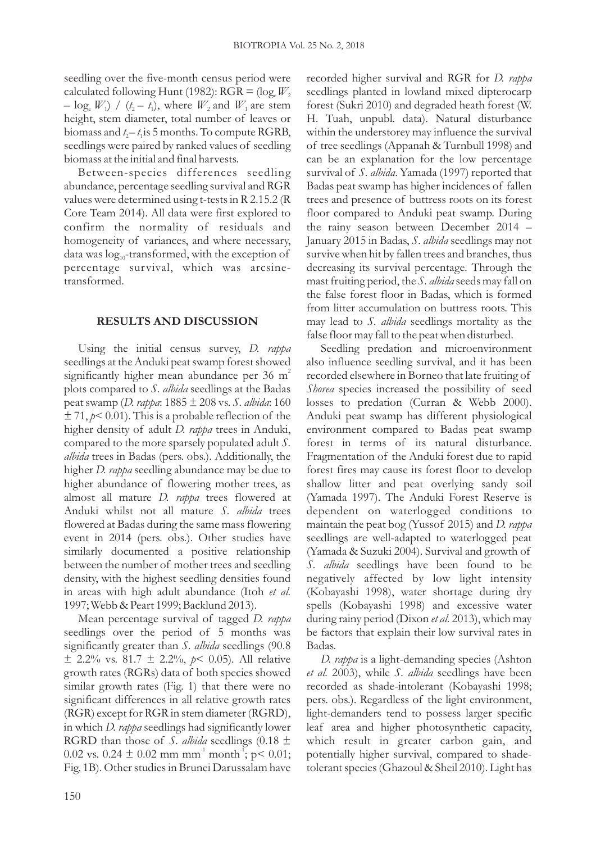seedling over the five-month census period were calculated following Hunt (1982):  $RGR = \log W$ ,  $- \log_e W_1$  /  $(t_2 - t_1)$ , where  $W_2$  and  $W_1$  are stem height, stem diameter, total number of leaves or biomass and  $t_2 - t_1$  is 5 months. To compute RGRB, seedlings were paired by ranked values of seedling biomass at the initial and final harvests.

Between-species differences seedling abundance, percentage seedling survival and RGR values were determined using t-tests in R 2.15.2 (R Core Team 2014). All data were first explored to confirm the normality of residuals and homogeneity of variances, and where necessary, data was  $log_{10}$ -transformed, with the exception of percentage survival, which was arcsinetransformed.

## **RESULTS AND DISCUSSION**

Using the initial census survey, *D. rappa* seedlings at the Anduki peat swamp forest showed significantly higher mean abundance per 36 m<sup>2</sup> plots compared to *S. albida* seedlings at the Badas peat swamp (*D. rappa*: 1885 ± 208 vs. *S. albida*: 160  $\pm$  71,  $p$  < 0.01). This is a probable reflection of the higher density of adult *D. rappa* trees in Anduki, compared to the more sparsely populated adult *S. albida* trees in Badas (pers. obs.). Additionally, the higher *D. rappa* seedling abundance may be due to higher abundance of flowering mother trees, as almost all mature *D. rappa* trees flowered at Anduki whilst not all mature *S. albida* trees flowered at Badas during the same mass flowering event in 2014 (pers. obs.). Other studies have similarly documented a positive relationship between the number of mother trees and seedling density, with the highest seedling densities found in areas with high adult abundance (Itoh *et al.* 1997; Webb & Peart 1999; Backlund 2013).

Mean percentage survival of tagged *D. rappa* seedlings over the period of 5 months was significantly greater than *S. albida* seedlings (90.8 ± 2.2% vs. 81.7 ± 2.2%, *p*< 0.05)*.* All relative growth rates (RGRs) data of both species showed similar growth rates (Fig. 1) that there were no significant differences in all relative growth rates (RGR) except for RGR in stem diameter (RGRD), in which *D. rappa* seedlings had significantly lower RGRD than those of *S. albida* seedlings (0.18 ± 0.02 vs. 0.24  $\pm$  0.02 mm mm<sup>-1</sup> month<sup>-1</sup>; p< 0.01; Fig. 1B). Other studies in Brunei Darussalam have

recorded higher survival and RGR for *D. rappa*  seedlings planted in lowland mixed dipterocarp forest (Sukri 2010) and degraded heath forest (W. H. Tuah, unpubl. data). Natural disturbance within the understorey may influence the survival of tree seedlings (Appanah & Turnbull 1998) and can be an explanation for the low percentage survival of *S. albida*. Yamada (1997) reported that Badas peat swamp has higher incidences of fallen trees and presence of buttress roots on its forest floor compared to Anduki peat swamp. During the rainy season between December 2014 – January 2015 in Badas, *S. albida* seedlings may not survive when hit by fallen trees and branches, thus decreasing its survival percentage. Through the mast fruiting period, the *S. albida* seeds may fall on the false forest floor in Badas, which is formed from litter accumulation on buttress roots. This may lead to *S. albida* seedlings mortality as the false floor may fall to the peat when disturbed.

Seedling predation and microenvironment also influence seedling survival, and it has been recorded elsewhere in Borneo that late fruiting of *Shorea* species increased the possibility of seed losses to predation (Curran & Webb 2000). Anduki peat swamp has different physiological environment compared to Badas peat swamp forest in terms of its natural disturbance. Fragmentation of the Anduki forest due to rapid forest fires may cause its forest floor to develop shallow litter and peat overlying sandy soil (Yamada 1997). The Anduki Forest Reserve is dependent on waterlogged conditions to maintain the peat bog (Yussof 2015) and *D. rappa* seedlings are well-adapted to waterlogged peat (Yamada & Suzuki 2004). Survival and growth of *S. albida* seedlings have been found to be negatively affected by low light intensity (Kobayashi 1998), water shortage during dry spells (Kobayashi 1998) and excessive water during rainy period (Dixon *et al.* 2013), which may be factors that explain their low survival rates in Badas.

*D. rappa* is a light-demanding species (Ashton *et al.* 2003), while *S. albida* seedlings have been recorded as shade-intolerant (Kobayashi 1998; pers. obs.). Regardless of the light environment, light-demanders tend to possess larger specific leaf area and higher photosynthetic capacity, which result in greater carbon gain, and potentially higher survival, compared to shadetolerant species (Ghazoul & Sheil 2010). Light has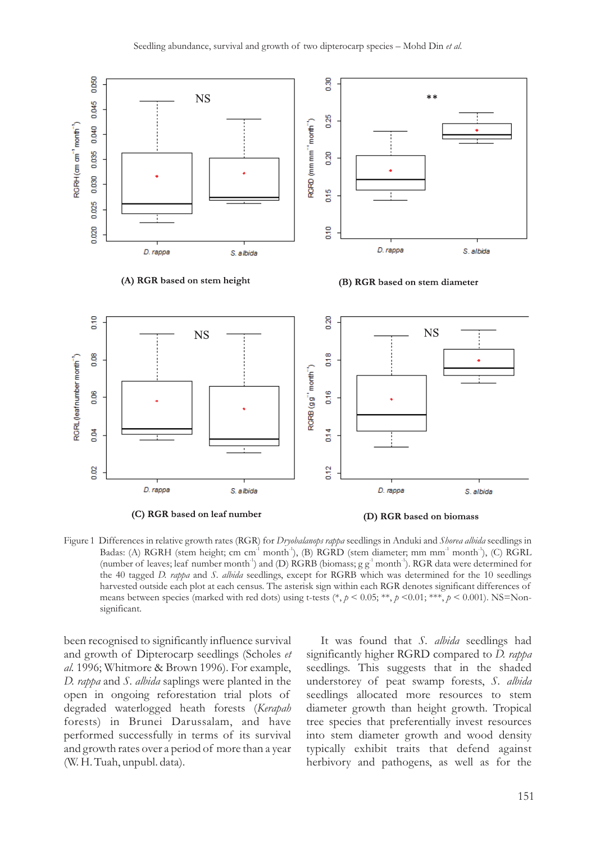

(C) RGR based on leaf number

(D) RGR based on biomass

Figure 1 Differences in relative growth rates (RGR) for *Dryobalanops rappa* seedlings in Anduki and *Shorea albida* seedlings in Badas: (A) RGRH (stem height; cm cm<sup>-1</sup> month<sup>-1</sup>), (B) RGRD (stem diameter; mm mm<sup>-1</sup> month<sup>-1</sup>), (C) RGRL (number of leaves; leaf number month<sup>-1</sup>) and (D) RGRB (biomass;  $g g<sup>-1</sup>$  month<sup>-1</sup>). RGR data were determined for the 40 tagged *D. rappa* and *S. albida* seedlings, except for RGRB which was determined for the 10 seedlings harvested outside each plot at each census. The asterisk sign within each RGR denotes significant differences of means between species (marked with red dots) using t-tests (\*,  $p < 0.05$ ; \*\*,  $p < 0.01$ ; \*\*\*,  $p < 0.001$ ). NS=Nonsignificant.

been recognised to significantly influence survival and growth of Dipterocarp seedlings (Scholes *et al.* 1996; Whitmore & Brown 1996). For example, *D. rappa* and *S. albida* saplings were planted in the open in ongoing reforestation trial plots of degraded waterlogged heath forests (*Kerapah* forests) in Brunei Darussalam, and have performed successfully in terms of its survival and growth rates over a period of more than a year (W. H. Tuah, unpubl. data).

It was found that *S. albida* seedlings had significantly higher RGRD compared to *D. rappa* seedlings. This suggests that in the shaded understorey of peat swamp forests, *S. albida*  seedlings allocated more resources to stem diameter growth than height growth. Tropical tree species that preferentially invest resources into stem diameter growth and wood density typically exhibit traits that defend against herbivory and pathogens, as well as for the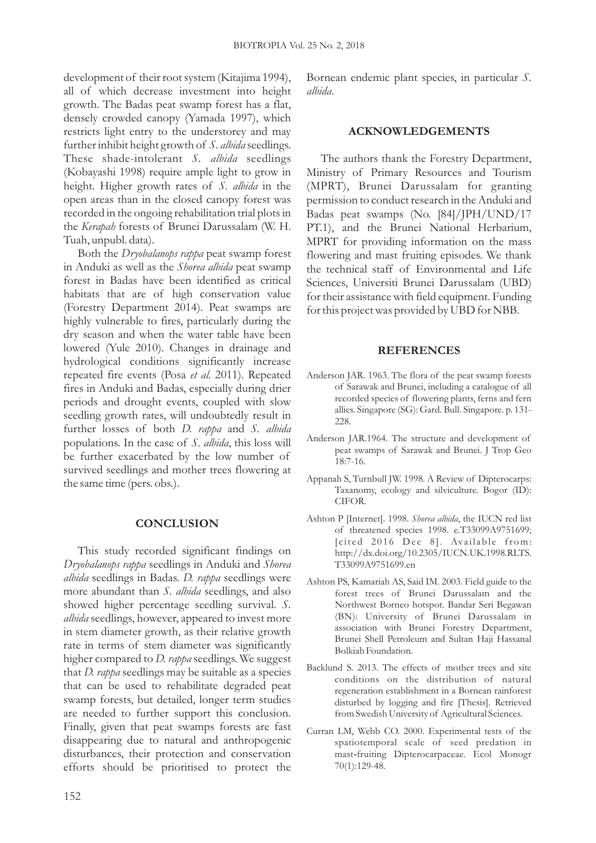development of their root system (Kitajima 1994), all of which decrease investment into height growth. The Badas peat swamp forest has a flat, densely crowded canopy (Yamada 1997), which restricts light entry to the understorey and may further inhibit height growth of *S. albida* seedlings. These shade-intolerant *S. albida* seedlings (Kobayashi 1998) require ample light to grow in height. Higher growth rates of *S. albida* in the open areas than in the closed canopy forest was recorded in the ongoing rehabilitation trial plots in the *Kerapah* forests of Brunei Darussalam (W. H. Tuah, unpubl. data).

Both the *Dryobalanops rappa* peat swamp forest in Anduki as well as the *Shorea albida* peat swamp forest in Badas have been identified as critical habitats that are of high conservation value (Forestry Department 2014). Peat swamps are highly vulnerable to fires, particularly during the dry season and when the water table have been lowered (Yule 2010). Changes in drainage and hydrological conditions significantly increase repeated fire events (Posa *et al.* 2011). Repeated fires in Anduki and Badas, especially during drier periods and drought events, coupled with slow seedling growth rates, will undoubtedly result in further losses of both *D. rappa* and *S. albida* populations. In the case of *S. albida*, this loss will be further exacerbated by the low number of survived seedlings and mother trees flowering at the same time (pers. obs.).

## **CONCLUSION**

This study recorded significant findings on *Dryobalanops rappa* seedlings in Anduki and *Shorea albida* seedlings in Badas. *D. rappa* seedlings were more abundant than *S. albida* seedlings, and also showed higher percentage seedling survival. *S. albida* seedlings, however, appeared to invest more in stem diameter growth, as their relative growth rate in terms of stem diameter was significantly higher compared to *D. rappa* seedlings. We suggest that *D. rappa* seedlings may be suitable as a species that can be used to rehabilitate degraded peat swamp forests, but detailed, longer term studies are needed to further support this conclusion. Finally, given that peat swamps forests are fast disappearing due to natural and anthropogenic disturbances, their protection and conservation efforts should be prioritised to protect the

Bornean endemic plant species, in particular *S. albida*.

#### **ACKNOWLEDGEMENTS**

The authors thank the Forestry Department, Ministry of Primary Resources and Tourism (MPRT), Brunei Darussalam for granting permission to conduct research in the Anduki and Badas peat swamps (No. [84]/JPH/UND/17 PT.1), and the Brunei National Herbarium, MPRT for providing information on the mass flowering and mast fruiting episodes. We thank the technical staff of Environmental and Life Sciences, Universiti Brunei Darussalam (UBD) for their assistance with field equipment. Funding for this project was provided by UBD for NBB.

### **REFERENCES**

- Anderson JAR. 1963. The flora of the peat swamp forests of Sarawak and Brunei, including a catalogue of all recorded species of flowering plants, ferns and fern allies. Singapore (SG): Gard. Bull. Singapore. p. 131- 228.
- Anderson JAR.1964. The structure and development of peat swamps of Sarawak and Brunei. J Trop Geo 18:7-16.
- Appanah S, Turnbull JW. 1998. A Review of Dipterocarps: Taxanomy, ecology and silviculture. Bogor (ID): CIFOR.
- Ashton P [Internet]. 1998. *Shorea albida*, the IUCN red list of threatened species 1998. e.T33099A9751699; [cited 2016 Dec 8]. Available from: http://dx.doi.org/10.2305/IUCN.UK.1998.RLTS. T33099A9751699.en
- Ashton PS, Kamariah AS, Said IM. 2003. Field guide to the forest trees of Brunei Darussalam and the Northwest Borneo hotspot. Bandar Seri Begawan (BN): University of Brunei Darussalam in association with Brunei Forestry Department, Brunei Shell Petroleum and Sultan Haji Hassanal Bolkiah Foundation.
- Backlund S. 2013. The effects of mother trees and site conditions on the distribution of natural regeneration establishment in a Bornean rainforest disturbed by logging and fire [Thesis]. Retrieved from Swedish University of Agricultural Sciences.
- Curran LM, Webb CO. 2000. Experimental tests of the spatiotemporal scale of seed predation in mast**‐**fruiting Dipterocarpaceae. Ecol Monogr 70(1):129-48.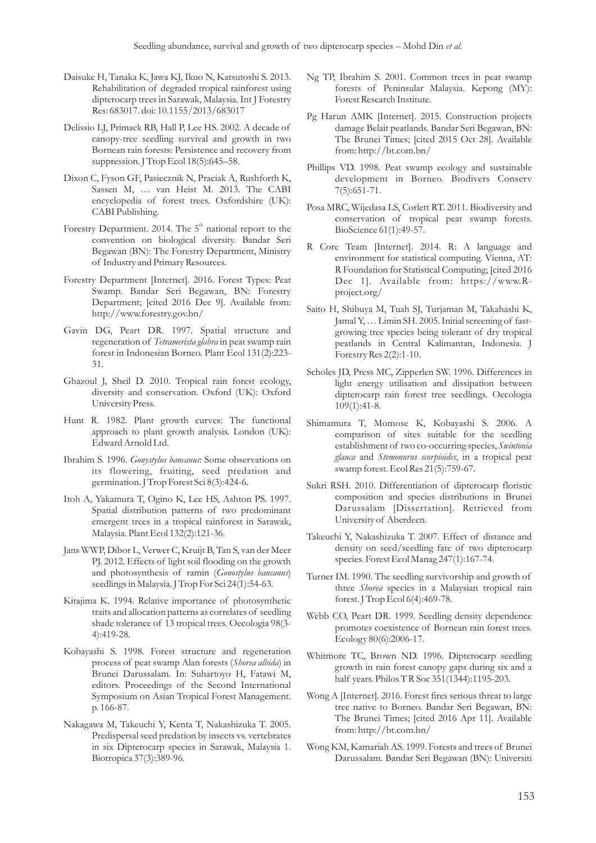- Daisuke H, Tanaka K, Jawa KJ, Ikuo N, Katsutoshi S. 2013. Rehabilitation of degraded tropical rainforest using dipterocarp trees in Sarawak, Malaysia. Int J Forestry Res: 683017. doi: 10.1155/2013/683017
- Delissio LJ, Primack RB, Hall P, Lee HS. 2002. A decade of canopy-tree seedling survival and growth in two Bornean rain forests: Persistence and recovery from suppression. J Trop Ecol 18(5):645–58.
- Dixon C, Fyson GF, Pasiecznik N, Praciak A, Rushforth K, Sassen M, … van Heist M. 2013. The CABI encyclopedia of forest trees. Oxfordshire (UK): CABI Publishing.
- Forestry Department. 2014. The  $5<sup>th</sup>$  national report to the convention on biological diversity. Bandar Seri Begawan (BN): The Forestry Department, Ministry of Industry and Primary Resources.
- Forestry Department [Internet]. 2016. Forest Types: Peat Swamp. Bandar Seri Begawan, BN: Forestry Department; [cited 2016 Dec 9]. Available from: http://www.forestry.gov.bn/
- Gavin DG, Peart DR. 1997. Spatial structure and regeneration of *Tetramerista glabra* in peat swamp rain forest in Indonesian Borneo. Plant Ecol 131(2):223- 31.
- Ghazoul J, Sheil D. 2010. Tropical rain forest ecology, diversity and conservation. Oxford (UK): Oxford University Press.
- Hunt R. 1982. Plant growth curves: The functional approach to plant growth analysis. London (UK): Edward Arnold Ltd.
- Ibrahim S. 1996. *Gonystylus bancanus*: Some observations on its flowering, fruiting, seed predation and germination. J Trop Forest Sci 8(3):424-6.
- Itoh A, Yakamura T, Ogino K, Lee HS, Ashton PS. 1997. Spatial distribution patterns of two predominant emergent trees in a tropical rainforest in Sarawak, Malaysia. Plant Ecol 132(2):121-36.
- Jans WWP, Dibor L, Verwer C, Kruijt B, Tan S, van der Meer PJ. 2012. Effects of light soil flooding on the growth and photosynthesis of ramin (*Gonostylus bancanus*) seedlings in Malaysia. J Trop For Sci 24(1):54-63.
- Kitajima K. 1994. Relative importance of photosynthetic traits and allocation patterns as correlates of seedling shade tolerance of 13 tropical trees. Oecologia 98(3- 4):419-28.
- Kobayashi S. 1998. Forest structure and regeneration process of peat swamp Alan forests (*Shorea albida*) in Brunei Darussalam. In: Suhartoyo H, Fatawi M, editors. Proceedings of the Second International Symposium on Asian Tropical Forest Management. p. 166-87.
- Nakagawa M, Takeuchi Y, Kenta T, Nakashizuka T. 2005. Predispersal seed predation by insects vs. vertebrates in six Dipterocarp species in Sarawak, Malaysia 1. Biotropica 37(3):389-96.
- Ng TP, Ibrahim S. 2001. Common trees in peat swamp forests of Peninsular Malaysia. Kepong (MY): Forest Research Institute.
- Pg Harun AMK [Internet]. 2015. Construction projects damage Belait peatlands. Bandar Seri Begawan, BN: The Brunei Times; [cited 2015 Oct 28]. Available from: http://bt.com.bn/
- Phillips VD. 1998. Peat swamp ecology and sustainable development in Borneo. Biodivers Conserv 7(5):651-71.
- Posa MRC, Wijedasa LS, Corlett RT. 2011. Biodiversity and conservation of tropical peat swamp forests. BioScience 61(1):49-57.
- R Core Team [Internet]. 2014. R: A language and environment for statistical computing. Vienna, AT: R Foundation for Statistical Computing; [cited 2016 Dec 1]. Available from: https://www.Rproject.org/
- Saito H, Shibuya M, Tuah SJ, Turjaman M, Takahashi K, Jamal Y, … Limin SH. 2005. Initial screening of fastgrowing tree species being tolerant of dry tropical peatlands in Central Kalimantan, Indonesia. J Forestry Res 2(2):1-10.
- Scholes JD, Press MC, Zipperlen SW. 1996. Differences in light energy utilisation and dissipation between dipterocarp rain forest tree seedlings. Oecologia 109(1):41-8.
- Shimamura T, Momose K, Kobayashi S. 2006. A comparison of sites suitable for the seedling establishment of two co-occurring species, *Swintonia glauca* and *Stemonurus scorpioides*, in a tropical peat swamp forest. Ecol Res 21(5):759-67.
- Sukri RSH. 2010. Differentiation of dipterocarp floristic composition and species distributions in Brunei Darussalam [Dissertation]. Retrieved from University of Aberdeen.
- Takeuchi Y, Nakashizuka T. 2007. Effect of distance and density on seed/seedling fate of two dipterocarp species. Forest Ecol Manag 247(1):167-74.
- Turner IM. 1990. The seedling survivorship and growth of three *Shorea* species in a Malaysian tropical rain forest. J Trop Ecol 6(4):469-78.
- Webb CO, Peart DR. 1999. Seedling density dependence promotes coexistence of Bornean rain forest trees. Ecology 80(6):2006-17.
- Whitmore TC, Brown ND. 1996. Dipterocarp seedling growth in rain forest canopy gaps during six and a half years. Philos T R Soc 351(1344):1195-203.
- Wong A [Internet]. 2016. Forest fires serious threat to large tree native to Borneo. Bandar Seri Begawan, BN: The Brunei Times; [cited 2016 Apr 11]. Available from: http://bt.com.bn/
- Wong KM, Kamariah AS. 1999. Forests and trees of Brunei Darussalam. Bandar Seri Begawan (BN): Universiti